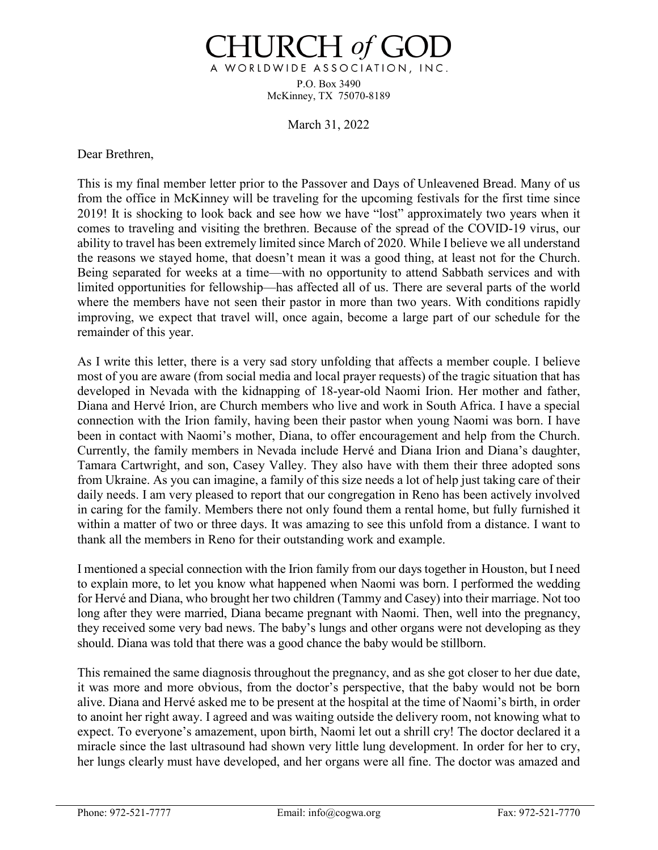**IURCH** of A WORLDWIDE ASSOCIATION, INC. P.O. Box 3490 McKinney, TX 75070-8189

March 31, 2022

Dear Brethren,

This is my final member letter prior to the Passover and Days of Unleavened Bread. Many of us from the office in McKinney will be traveling for the upcoming festivals for the first time since 2019! It is shocking to look back and see how we have "lost" approximately two years when it comes to traveling and visiting the brethren. Because of the spread of the COVID-19 virus, our ability to travel has been extremely limited since March of 2020. While I believe we all understand the reasons we stayed home, that doesn't mean it was a good thing, at least not for the Church. Being separated for weeks at a time—with no opportunity to attend Sabbath services and with limited opportunities for fellowship—has affected all of us. There are several parts of the world where the members have not seen their pastor in more than two years. With conditions rapidly improving, we expect that travel will, once again, become a large part of our schedule for the remainder of this year.

As I write this letter, there is a very sad story unfolding that affects a member couple. I believe most of you are aware (from social media and local prayer requests) of the tragic situation that has developed in Nevada with the kidnapping of 18-year-old Naomi Irion. Her mother and father, Diana and Hervé Irion, are Church members who live and work in South Africa. I have a special connection with the Irion family, having been their pastor when young Naomi was born. I have been in contact with Naomi's mother, Diana, to offer encouragement and help from the Church. Currently, the family members in Nevada include Hervé and Diana Irion and Diana's daughter, Tamara Cartwright, and son, Casey Valley. They also have with them their three adopted sons from Ukraine. As you can imagine, a family of this size needs a lot of help just taking care of their daily needs. I am very pleased to report that our congregation in Reno has been actively involved in caring for the family. Members there not only found them a rental home, but fully furnished it within a matter of two or three days. It was amazing to see this unfold from a distance. I want to thank all the members in Reno for their outstanding work and example.

I mentioned a special connection with the Irion family from our days together in Houston, but I need to explain more, to let you know what happened when Naomi was born. I performed the wedding for Hervé and Diana, who brought her two children (Tammy and Casey) into their marriage. Not too long after they were married, Diana became pregnant with Naomi. Then, well into the pregnancy, they received some very bad news. The baby's lungs and other organs were not developing as they should. Diana was told that there was a good chance the baby would be stillborn.

This remained the same diagnosis throughout the pregnancy, and as she got closer to her due date, it was more and more obvious, from the doctor's perspective, that the baby would not be born alive. Diana and Hervé asked me to be present at the hospital at the time of Naomi's birth, in order to anoint her right away. I agreed and was waiting outside the delivery room, not knowing what to expect. To everyone's amazement, upon birth, Naomi let out a shrill cry! The doctor declared it a miracle since the last ultrasound had shown very little lung development. In order for her to cry, her lungs clearly must have developed, and her organs were all fine. The doctor was amazed and